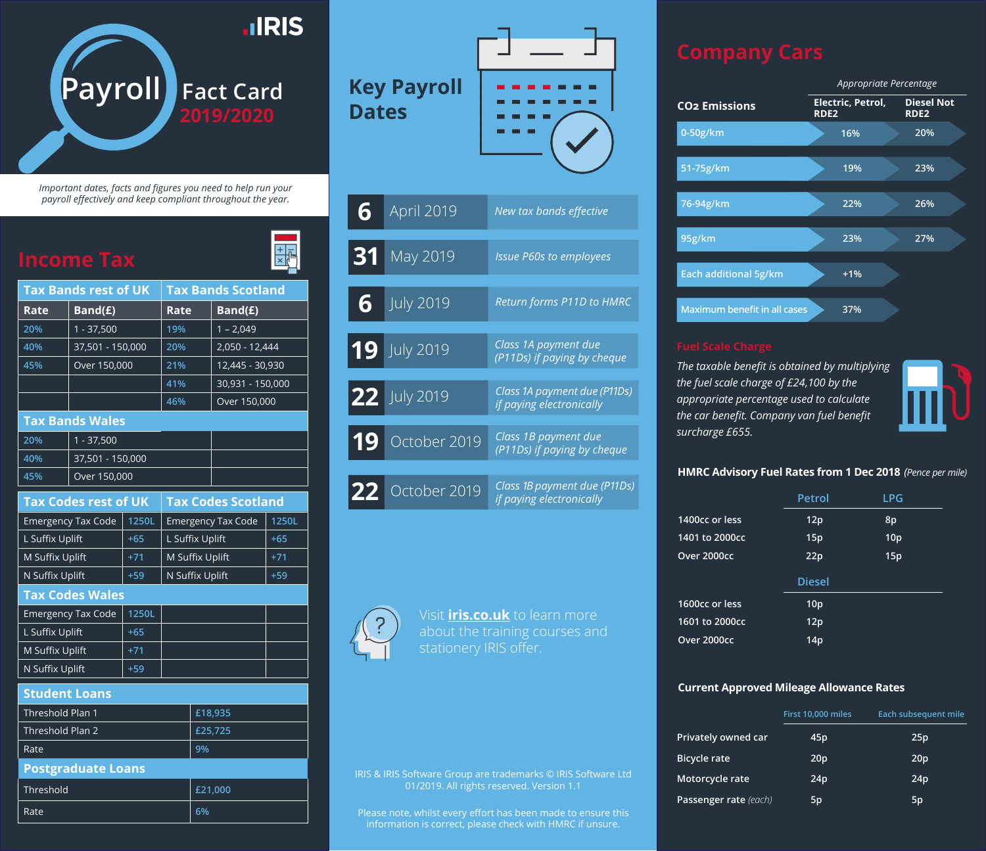

*Important dates, facts and figures you need to help run your payroll effectively and keep compliant throughout the year.*

 $\frac{1}{\sqrt{1+\frac{1}{2}}}$ 

| <b>Tax Bands rest of UK</b> |                             |       |                           | <b>Tax Bands Scotland</b> |       |  |
|-----------------------------|-----------------------------|-------|---------------------------|---------------------------|-------|--|
| Rate                        | Band(£)                     |       | Rate                      | Band(E)                   |       |  |
| 20%                         | $1 - 37,500$                |       | 19%                       | $1 - 2,049$               |       |  |
| 40%                         | 37,501 - 150,000            |       | 20%                       | 2,050 - 12,444            |       |  |
| 45%                         | Over 150,000                |       | 21%                       | 12,445 - 30,930           |       |  |
|                             |                             |       | 41%                       | 30,931 - 150,000          |       |  |
|                             |                             |       | 46%                       | Over 150,000              |       |  |
|                             | <b>Tax Bands Wales</b>      |       |                           |                           |       |  |
| 20%                         | $1 - 37,500$                |       |                           |                           |       |  |
| 40%                         | 37,501 - 150,000            |       |                           |                           |       |  |
| 45%                         | Over 150,000                |       |                           |                           |       |  |
|                             | <b>Tax Codes rest of UK</b> |       |                           | <b>Tax Codes Scotland</b> |       |  |
|                             | <b>Emergency Tax Code</b>   | 1250L | <b>Emergency Tax Code</b> |                           | 1250L |  |
| L Suffix Uplift             |                             | $+65$ | L Suffix Uplift           |                           | $+65$ |  |
| M Suffix Uplift             |                             | $+71$ | M Suffix Uplift           |                           | $+71$ |  |
|                             | N Suffix Uplift<br>$+59$    |       | N Suffix Uplift           |                           | $+59$ |  |
| <b>Tax Codes Wales</b>      |                             |       |                           |                           |       |  |
|                             |                             |       |                           |                           |       |  |
|                             | <b>Emergency Tax Code</b>   | 1250L |                           |                           |       |  |
| L Suffix Uplift             |                             | $+65$ |                           |                           |       |  |
| M Suffix Uplift             |                             | $+71$ |                           |                           |       |  |
| N Suffix Uplift             |                             | $+59$ |                           |                           |       |  |

| Threshold Plan 1          | £18,935 |
|---------------------------|---------|
| Threshold Plan 2          | £25,725 |
| Rate                      | 9%      |
| <b>Postgraduate Loans</b> |         |
| Threshold                 |         |
|                           | £21,000 |

# **Key Payroll Dates**



| 6  | April 2019       | New tax bands effective                                  |
|----|------------------|----------------------------------------------------------|
| 31 | May 2019         | <b>Issue P60s to employees</b>                           |
| 6  | <b>July 2019</b> | Return forms P11D to HMRC                                |
|    | 19 July 2019     | Class 1A payment due<br>(P11Ds) if paying by cheque      |
|    | 22 July 2019     | Class 1A payment due (P11Ds)<br>if paying electronically |
| 19 | October 2019     | Class 1B payment due<br>(P11Ds) if paying by cheque      |
| 22 | October 2019     | Class 1B payment due (P11Ds)<br>if paying electronically |

Visit **iris.co.uk** to learn more

IRIS & IRIS Software Group are trademarks © IRIS Software Ltd 01/2019. All rights reserved. Version 1.1

Please note, whilst every effort has been made to ensure this information is correct, please check with HMRC if unsure.



*The taxable benefit is obtained by multiplying the fuel scale charge of £24,100 by the appropriate percentage used to calculate the car benefit. Company van fuel benefit surcharge £655.*



## **HMRC Advisory Fuel Rates from 1 Dec 2018** *(Pence per mile)*

|                | Petrol          | <b>LPG</b>      |
|----------------|-----------------|-----------------|
| 1400cc or less | 12p             | 8p              |
| 1401 to 2000cc | 15p             | 10 <sub>p</sub> |
| Over 2000cc    | 22p             | 15p             |
|                | <b>Diesel</b>   |                 |
| 1600cc or less | 10 <sub>p</sub> |                 |
| 1601 to 2000cc | 12p             |                 |
| Over 2000cc    | 14p             |                 |

## **Current Approved Mileage Allowance Rates**

|                       | First 10,000 miles | Each subsequent mile |
|-----------------------|--------------------|----------------------|
| Privately owned car   | 45 <sub>p</sub>    | 25p                  |
| <b>Bicycle rate</b>   | 20 <sub>p</sub>    | 20 <sub>p</sub>      |
| Motorcycle rate       | 24p                | 24p                  |
| Passenger rate (each) | 5p                 | 5p                   |